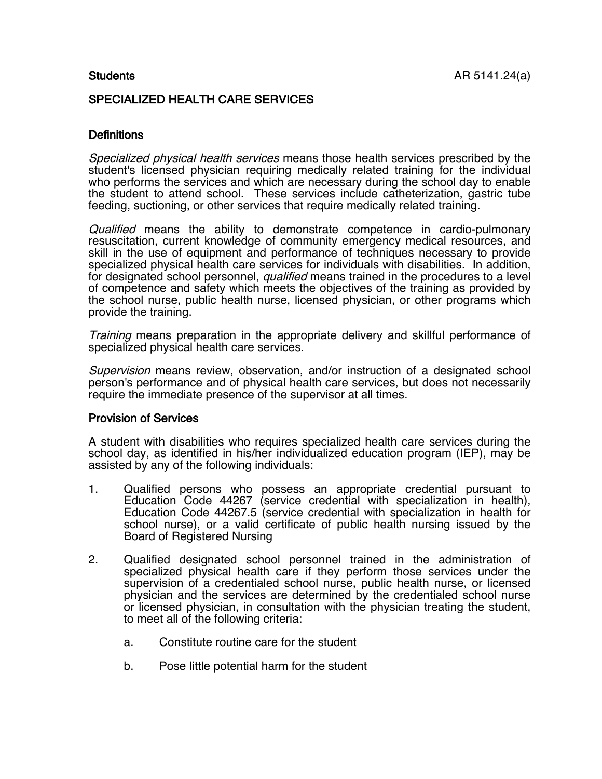## SPECIALIZED HEALTH CARE SERVICES

## **Definitions**

Specialized physical health services means those health services prescribed by the student's licensed physician requiring medically related training for the individual who performs the services and which are necessary during the school day to enable the student to attend school. These services include catheterization, gastric tube feeding, suctioning, or other services that require medically related training.

Qualified means the ability to demonstrate competence in cardio-pulmonary resuscitation, current knowledge of community emergency medical resources, and skill in the use of equipment and performance of techniques necessary to provide specialized physical health care services for individuals with disabilities. In addition, for designated school personnel, *qualified* means trained in the procedures to a level of competence and safety which meets the objectives of the training as provided by the school nurse, public health nurse, licensed physician, or other programs which provide the training.

Training means preparation in the appropriate delivery and skillful performance of specialized physical health care services.

Supervision means review, observation, and/or instruction of a designated school person's performance and of physical health care services, but does not necessarily require the immediate presence of the supervisor at all times.

### Provision of Services

A student with disabilities who requires specialized health care services during the school day, as identified in his/her individualized education program (IEP), may be assisted by any of the following individuals:

- 1. Qualified persons who possess an appropriate credential pursuant to Education Code 44267 (service credential with specialization in health), Education Code 44267.5 (service credential with specialization in health for school nurse), or a valid certificate of public health nursing issued by the Board of Registered Nursing
- 2. Qualified designated school personnel trained in the administration of specialized physical health care if they perform those services under the supervision of a credentialed school nurse, public health nurse, or licensed physician and the services are determined by the credentialed school nurse or licensed physician, in consultation with the physician treating the student, to meet all of the following criteria:
	- a. Constitute routine care for the student
	- b. Pose little potential harm for the student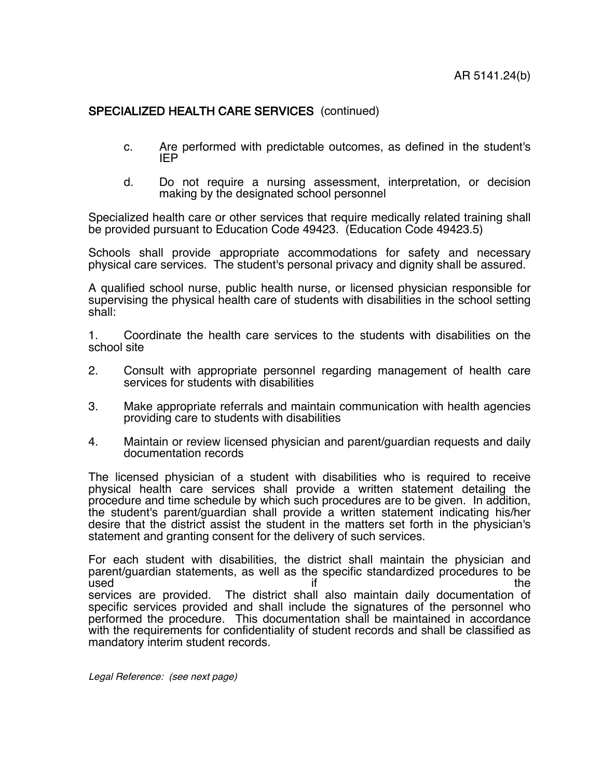# SPECIALIZED HEALTH CARE SERVICES (continued)

- c. Are performed with predictable outcomes, as defined in the student's IEP
- d. Do not require a nursing assessment, interpretation, or decision making by the designated school personnel

Specialized health care or other services that require medically related training shall be provided pursuant to Education Code 49423. (Education Code 49423.5)

Schools shall provide appropriate accommodations for safety and necessary physical care services. The student's personal privacy and dignity shall be assured.

A qualified school nurse, public health nurse, or licensed physician responsible for supervising the physical health care of students with disabilities in the school setting shall:

1. Coordinate the health care services to the students with disabilities on the school site

- 2. Consult with appropriate personnel regarding management of health care services for students with disabilities
- 3. Make appropriate referrals and maintain communication with health agencies providing care to students with disabilities
- 4. Maintain or review licensed physician and parent/guardian requests and daily documentation records

The licensed physician of a student with disabilities who is required to receive physical health care services shall provide a written statement detailing the procedure and time schedule by which such procedures are to be given. In addition, the student's parent/guardian shall provide a written statement indicating his/her desire that the district assist the student in the matters set forth in the physician's statement and granting consent for the delivery of such services.

For each student with disabilities, the district shall maintain the physician and parent/guardian statements, as well as the specific standardized procedures to be<br>used if used the contract of the contract of the contract of the contract of the contract of the contract of the contract of the contract of the contract of the contract of the contract of the contract of the contract of the contr services are provided. The district shall also maintain daily documentation of specific services provided and shall include the signatures of the personnel who performed the procedure. This documentation shall be maintained in accordance with the requirements for confidentiality of student records and shall be classified as mandatory interim student records.

Legal Reference: (see next page)